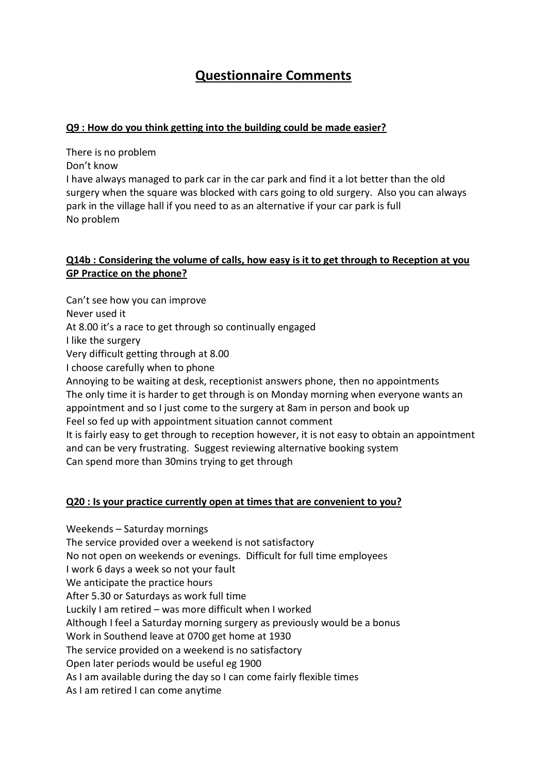# **Questionnaire Comments**

#### **Q9 : How do you think getting into the building could be made easier?**

There is no problem

Don't know

I have always managed to park car in the car park and find it a lot better than the old surgery when the square was blocked with cars going to old surgery. Also you can always park in the village hall if you need to as an alternative if your car park is full No problem

### **Q14b : Considering the volume of calls, how easy is it to get through to Reception at you GP Practice on the phone?**

Can't see how you can improve Never used it At 8.00 it's a race to get through so continually engaged I like the surgery Very difficult getting through at 8.00 I choose carefully when to phone Annoying to be waiting at desk, receptionist answers phone, then no appointments The only time it is harder to get through is on Monday morning when everyone wants an appointment and so I just come to the surgery at 8am in person and book up Feel so fed up with appointment situation cannot comment It is fairly easy to get through to reception however, it is not easy to obtain an appointment and can be very frustrating. Suggest reviewing alternative booking system Can spend more than 30mins trying to get through

#### **Q20 : Is your practice currently open at times that are convenient to you?**

Weekends – Saturday mornings The service provided over a weekend is not satisfactory No not open on weekends or evenings. Difficult for full time employees I work 6 days a week so not your fault We anticipate the practice hours After 5.30 or Saturdays as work full time Luckily I am retired – was more difficult when I worked Although I feel a Saturday morning surgery as previously would be a bonus Work in Southend leave at 0700 get home at 1930 The service provided on a weekend is no satisfactory Open later periods would be useful eg 1900 As I am available during the day so I can come fairly flexible times As I am retired I can come anytime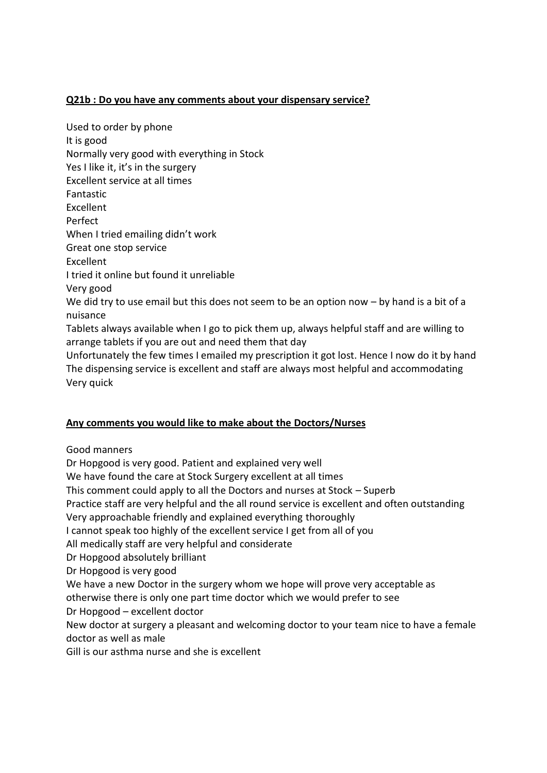### **Q21b : Do you have any comments about your dispensary service?**

Used to order by phone It is good Normally very good with everything in Stock Yes I like it, it's in the surgery Excellent service at all times Fantastic Excellent Perfect When I tried emailing didn't work Great one stop service Excellent I tried it online but found it unreliable Very good We did try to use email but this does not seem to be an option now – by hand is a bit of a nuisance Tablets always available when I go to pick them up, always helpful staff and are willing to arrange tablets if you are out and need them that day Unfortunately the few times I emailed my prescription it got lost. Hence I now do it by hand

The dispensing service is excellent and staff are always most helpful and accommodating Very quick

## **Any comments you would like to make about the Doctors/Nurses**

Good manners

Dr Hopgood is very good. Patient and explained very well We have found the care at Stock Surgery excellent at all times This comment could apply to all the Doctors and nurses at Stock – Superb Practice staff are very helpful and the all round service is excellent and often outstanding Very approachable friendly and explained everything thoroughly I cannot speak too highly of the excellent service I get from all of you All medically staff are very helpful and considerate Dr Hopgood absolutely brilliant Dr Hopgood is very good We have a new Doctor in the surgery whom we hope will prove very acceptable as otherwise there is only one part time doctor which we would prefer to see Dr Hopgood – excellent doctor New doctor at surgery a pleasant and welcoming doctor to your team nice to have a female doctor as well as male Gill is our asthma nurse and she is excellent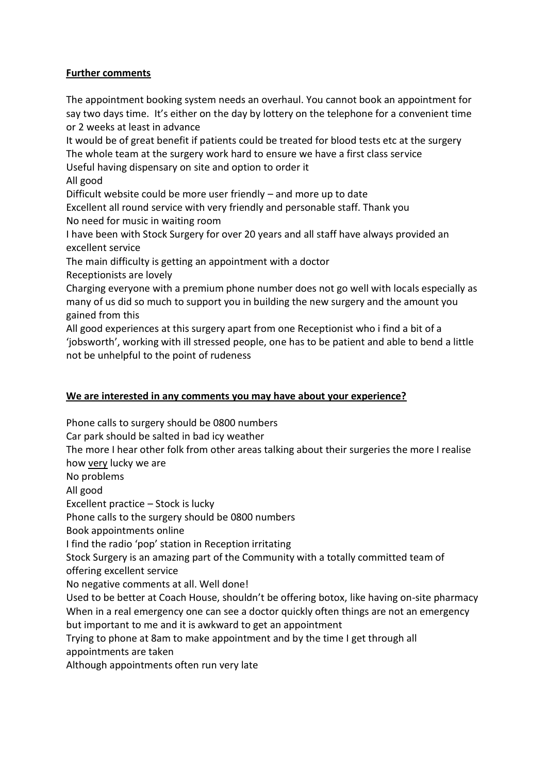### **Further comments**

The appointment booking system needs an overhaul. You cannot book an appointment for say two days time. It's either on the day by lottery on the telephone for a convenient time or 2 weeks at least in advance

It would be of great benefit if patients could be treated for blood tests etc at the surgery The whole team at the surgery work hard to ensure we have a first class service

Useful having dispensary on site and option to order it

All good

Difficult website could be more user friendly – and more up to date

Excellent all round service with very friendly and personable staff. Thank you No need for music in waiting room

I have been with Stock Surgery for over 20 years and all staff have always provided an excellent service

The main difficulty is getting an appointment with a doctor

Receptionists are lovely

Charging everyone with a premium phone number does not go well with locals especially as many of us did so much to support you in building the new surgery and the amount you gained from this

All good experiences at this surgery apart from one Receptionist who i find a bit of a 'jobsworth', working with ill stressed people, one has to be patient and able to bend a little not be unhelpful to the point of rudeness

#### **We are interested in any comments you may have about your experience?**

Phone calls to surgery should be 0800 numbers

Car park should be salted in bad icy weather

The more I hear other folk from other areas talking about their surgeries the more I realise how very lucky we are

No problems

All good

Excellent practice – Stock is lucky

Phone calls to the surgery should be 0800 numbers

Book appointments online

I find the radio 'pop' station in Reception irritating

Stock Surgery is an amazing part of the Community with a totally committed team of offering excellent service

No negative comments at all. Well done!

Used to be better at Coach House, shouldn't be offering botox, like having on-site pharmacy When in a real emergency one can see a doctor quickly often things are not an emergency but important to me and it is awkward to get an appointment

Trying to phone at 8am to make appointment and by the time I get through all appointments are taken

Although appointments often run very late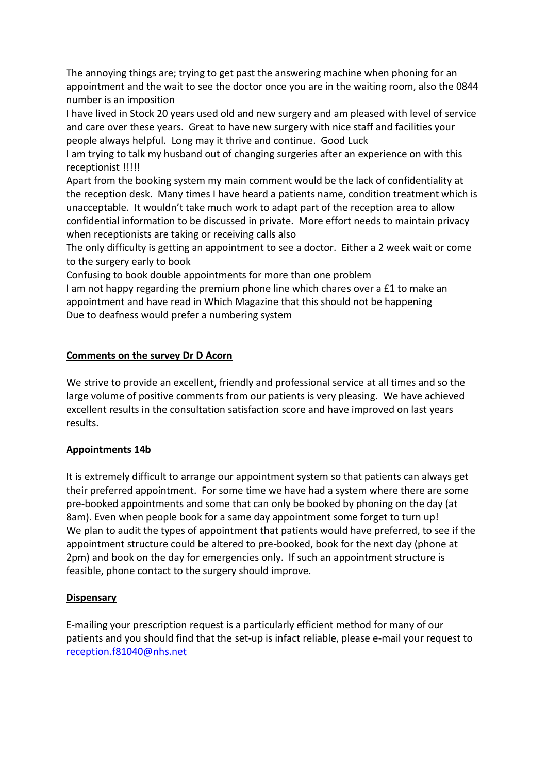The annoying things are; trying to get past the answering machine when phoning for an appointment and the wait to see the doctor once you are in the waiting room, also the 0844 number is an imposition

I have lived in Stock 20 years used old and new surgery and am pleased with level of service and care over these years. Great to have new surgery with nice staff and facilities your people always helpful. Long may it thrive and continue. Good Luck

I am trying to talk my husband out of changing surgeries after an experience on with this receptionist !!!!!

Apart from the booking system my main comment would be the lack of confidentiality at the reception desk. Many times I have heard a patients name, condition treatment which is unacceptable. It wouldn't take much work to adapt part of the reception area to allow confidential information to be discussed in private. More effort needs to maintain privacy when receptionists are taking or receiving calls also

The only difficulty is getting an appointment to see a doctor. Either a 2 week wait or come to the surgery early to book

Confusing to book double appointments for more than one problem

I am not happy regarding the premium phone line which chares over a £1 to make an appointment and have read in Which Magazine that this should not be happening Due to deafness would prefer a numbering system

## **Comments on the survey Dr D Acorn**

We strive to provide an excellent, friendly and professional service at all times and so the large volume of positive comments from our patients is very pleasing. We have achieved excellent results in the consultation satisfaction score and have improved on last years results.

#### **Appointments 14b**

It is extremely difficult to arrange our appointment system so that patients can always get their preferred appointment. For some time we have had a system where there are some pre-booked appointments and some that can only be booked by phoning on the day (at 8am). Even when people book for a same day appointment some forget to turn up! We plan to audit the types of appointment that patients would have preferred, to see if the appointment structure could be altered to pre-booked, book for the next day (phone at 2pm) and book on the day for emergencies only. If such an appointment structure is feasible, phone contact to the surgery should improve.

#### **Dispensary**

E-mailing your prescription request is a particularly efficient method for many of our patients and you should find that the set-up is infact reliable, please e-mail your request to [reception.f81040@nhs.net](mailto:reception.f81040@nhs.net)